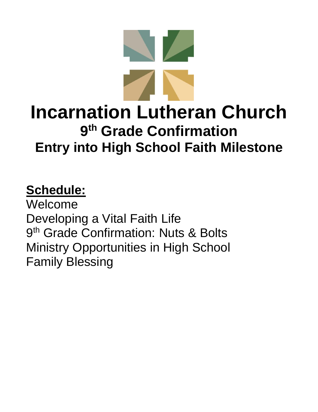

# **Schedule:**

Welcome Developing a Vital Faith Life 9<sup>th</sup> Grade Confirmation: Nuts & Bolts Ministry Opportunities in High School Family Blessing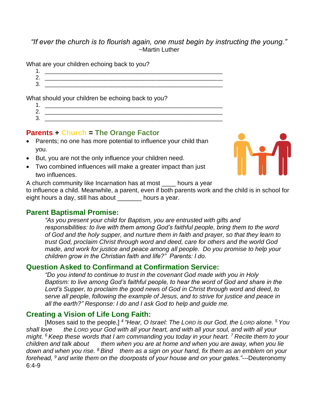#### *"If ever the church is to flourish again, one must begin by instructing the young."* ~Martin Luther

What are your children echoing back to you?

1. \_\_\_\_\_\_\_\_\_\_\_\_\_\_\_\_\_\_\_\_\_\_\_\_\_\_\_\_\_\_\_\_\_\_\_\_\_\_\_\_\_\_\_\_\_\_\_\_\_\_\_\_\_\_\_\_ 2. 3. \_\_\_\_\_\_\_\_\_\_\_\_\_\_\_\_\_\_\_\_\_\_\_\_\_\_\_\_\_\_\_\_\_\_\_\_\_\_\_\_\_\_\_\_\_\_\_\_\_\_\_\_\_\_\_\_

What should your children be echoing back to you?

1. \_\_\_\_\_\_\_\_\_\_\_\_\_\_\_\_\_\_\_\_\_\_\_\_\_\_\_\_\_\_\_\_\_\_\_\_\_\_\_\_\_\_\_\_\_\_\_\_\_\_\_\_\_\_\_\_ 2. \_\_\_\_\_\_\_\_\_\_\_\_\_\_\_\_\_\_\_\_\_\_\_\_\_\_\_\_\_\_\_\_\_\_\_\_\_\_\_\_\_\_\_\_\_\_\_\_\_\_\_\_\_\_\_\_  $3.$ 

#### **Parents + Church = The Orange Factor**

- Parents; no one has more potential to influence your child than you.
- But, you are not the only influence your children need.
- Two combined influences will make a greater impact than just two influences.



A church community like Incarnation has at most hours a year

to influence a child. Meanwhile, a parent, even if both parents work and the child is in school for eight hours a day, still has about hours a year.

#### **Parent Baptismal Promise:**

*"As you present your child for Baptism, you are entrusted with gifts and responsibilities: to live with them among God's faithful people, bring them to the word of God and the holy supper, and nurture them in faith and prayer, so that they learn to trust God, proclaim Christ through word and deed, care for others and the world God made, and work for justice and peace among all people. Do you promise to help your children grow in the Christian faith and life?" Parents: I do.*

#### **Question Asked to Confirmand at Confirmation Service:**

*"Do you intend to continue to trust in the covenant God made with you in Holy Baptism: to live among God's faithful people, to hear the word of God and share in the Lord's Supper, to proclaim the good news of God in Christ through word and deed, to serve all people, following the example of Jesus, and to strive for justice and peace in all the earth?" Response: I do and I ask God to help and guide me.*

#### **Creating a Vision of Life Long Faith:**

[Moses said to the people,] *<sup>4</sup> "Hear, O Israel: The LORD is our God, the LORD alone. <sup>5</sup> You shall love the LORD your God with all your heart, and with all your soul, and with all your might. <sup>6</sup> Keep these words that I am commanding you today in your heart. <sup>7</sup> Recite them to your children and talk about them when you are at home and when you are away, when you lie down and when you rise. <sup>8</sup> Bind them as a sign on your hand, fix them as an emblem on your forehead, <sup>9</sup> and write them on the doorposts of your house and on your gates."*---Deuteronomy 6:4-9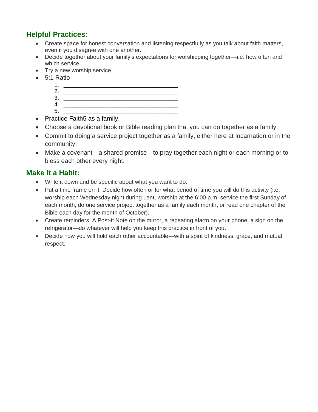#### **Helpful Practices:**

- Create space for honest conversation and listening respectfully as you talk about faith matters, even if you disagree with one another.
- Decide together about your family's expectations for worshipping together—i.e. how often and which service.
- Try a new worship service.
- 5:1 Ratio
	- 1. \_\_\_\_\_\_\_\_\_\_\_\_\_\_\_\_\_\_\_\_\_\_\_\_\_\_\_\_\_\_\_\_\_\_\_\_
	- 2. \_\_\_\_\_\_\_\_\_\_\_\_\_\_\_\_\_\_\_\_\_\_\_\_\_\_\_\_\_\_\_\_\_\_\_\_ 3. \_\_\_\_\_\_\_\_\_\_\_\_\_\_\_\_\_\_\_\_\_\_\_\_\_\_\_\_\_\_\_\_\_\_\_\_
	- 4. \_\_\_\_\_\_\_\_\_\_\_\_\_\_\_\_\_\_\_\_\_\_\_\_\_\_\_\_\_\_\_\_\_\_\_\_
- 5. \_\_\_\_\_\_\_\_\_\_\_\_\_\_\_\_\_\_\_\_\_\_\_\_\_\_\_\_\_\_\_\_\_\_\_\_ • Practice Faith 5 as a family.
- Choose a devotional book or Bible reading plan that you can do together as a family.
- Commit to doing a service project together as a family, either here at Incarnation or in the community.
- Make a covenant—a shared promise—to pray together each night or each morning or to bless each other every night.

#### **Make It a Habit:**

- Write it down and be specific about what you want to do.
- Put a time frame on it. Decide how often or for what period of time you will do this activity (i.e. worship each Wednesday night during Lent, worship at the 6:00 p.m. service the first Sunday of each month, do one service project together as a family each month, or read one chapter of the Bible each day for the month of October).
- Create reminders. A Post-it Note on the mirror, a repeating alarm on your phone, a sign on the refrigerator—do whatever will help you keep this practice in front of you.
- Decide how you will hold each other accountable—with a spirit of kindness, grace, and mutual respect.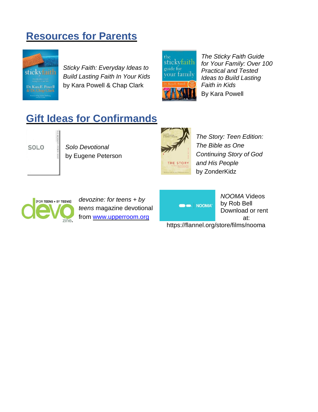### **Resources for Parents**



*Sticky Faith: Everyday Ideas to Build Lasting Faith In Your Kids* by Kara Powell & Chap Clark



*The Sticky Faith Guide for Your Family: Over 100 Practical and Tested Ideas to Build Lasting Faith in Kids* By Kara Powell

## **Gift Ideas for Confirmands**



*Solo Devotional* by Eugene Peterson



*The Story: Teen Edition: The Bible as One Continuing Story of God and His People* by ZonderKidz



*devozine: for teens + by teens* magazine devotional from [www.upperroom.org](http://www.upperroom.org/)

**OD** MOOMA<sup>®</sup>

*NOOMA* Videos by Rob Bell Download or rent at:

https://flannel.org/store/films/nooma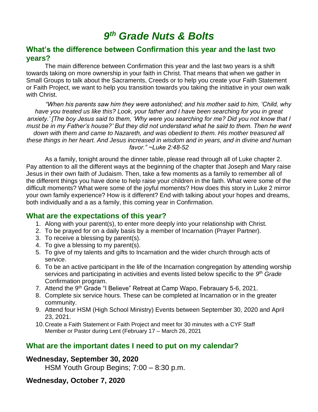### *9 th Grade Nuts & Bolts*

#### **What's the difference between Confirmation this year and the last two years?**

The main difference between Confirmation this year and the last two years is a shift towards taking on more ownership in your faith in Christ. That means that when we gather in Small Groups to talk about the Sacraments, Creeds or to help you create your Faith Statement or Faith Project, we want to help you transition towards you taking the initiative in your own walk with Christ.

*"When his parents saw him they were astonished; and his mother said to him, 'Child, why have you treated us like this? Look, your father and I have been searching for you in great anxiety.' [The boy Jesus said to them, 'Why were you searching for me? Did you not know that I must be in my Father's house?' But they did not understand what he said to them. Then he went down with them and came to Nazareth, and was obedient to them. His mother treasured all these things in her heart. And Jesus increased in wisdom and in years, and in divine and human favor." ~Luke 2:48-52*

As a family, tonight around the dinner table, please read through all of Luke chapter 2. Pay attention to all the different ways at the beginning of the chapter that Joseph and Mary raise Jesus in their own faith of Judaism. Then, take a few moments as a family to remember all of the different things you have done to help raise your children in the faith. What were some of the difficult moments? What were some of the joyful moments? How does this story in Luke 2 mirror your own family experience? How is it different? End with talking about your hopes and dreams, both individually and a as a family, this coming year in Confirmation.

#### **What are the expectations of this year?**

- 1. Along with your parent(s), to enter more deeply into your relationship with Christ.
- 2. To be prayed for on a daily basis by a member of Incarnation (Prayer Partner).
- 3. To receive a blessing by parent(s).
- 4. To give a blessing to my parent(s).
- 5. To give of my talents and gifts to Incarnation and the wider church through acts of service.
- 6. To be an active participant in the life of the Incarnation congregation by attending worship services and participating in activities and events listed below specific to the 9<sup>th</sup> Grade Confirmation program.
- 7. Attend the 9<sup>th</sup> Grade "I Believe" Retreat at Camp Wapo, Febrauary 5-6, 2021.
- 8. Complete six service hours. These can be completed at Incarnation or in the greater community.
- 9. Attend four HSM (High School Ministry) Events between September 30, 2020 and April 23, 2021.
- 10.Create a Faith Statement or Faith Project and meet for 30 minutes with a CYF Staff Member or Pastor during Lent (February 17 – March 26, 2021

#### **What are the important dates I need to put on my calendar?**

#### **Wednesday, September 30, 2020**

HSM Youth Group Begins; 7:00 – 8:30 p.m.

#### **Wednesday, October 7, 2020**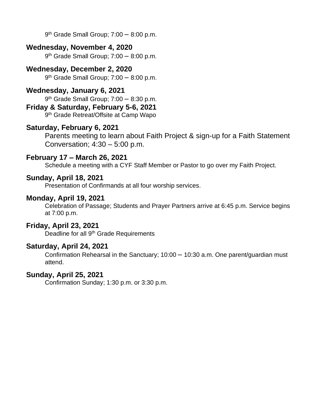9<sup>th</sup> Grade Small Group; 7:00 - 8:00 p.m.

#### **Wednesday, November 4, 2020**

9<sup>th</sup> Grade Small Group; 7:00 - 8:00 p.m.

#### **Wednesday, December 2, 2020**

9 th Grade Small Group; 7:00 – 8:00 p.m.

#### **Wednesday, January 6, 2021**

9 th Grade Small Group; 7:00 – 8:30 p.m.

#### **Friday & Saturday, February 5-6, 2021**

9<sup>th</sup> Grade Retreat/Offsite at Camp Wapo

#### **Saturday, February 6, 2021**

Parents meeting to learn about Faith Project & sign-up for a Faith Statement Conversation; 4:30 – 5:00 p.m.

#### **February 17 – March 26, 2021**

Schedule a meeting with a CYF Staff Member or Pastor to go over my Faith Project.

#### **Sunday, April 18, 2021**

Presentation of Confirmands at all four worship services.

#### **Monday, April 19, 2021**

Celebration of Passage; Students and Prayer Partners arrive at 6:45 p.m. Service begins at 7:00 p.m.

#### **Friday, April 23, 2021**

Deadline for all 9<sup>th</sup> Grade Requirements

#### **Saturday, April 24, 2021**

Confirmation Rehearsal in the Sanctuary; 10:00 – 10:30 a.m. One parent/guardian must attend.

#### **Sunday, April 25, 2021**

Confirmation Sunday; 1:30 p.m. or 3:30 p.m.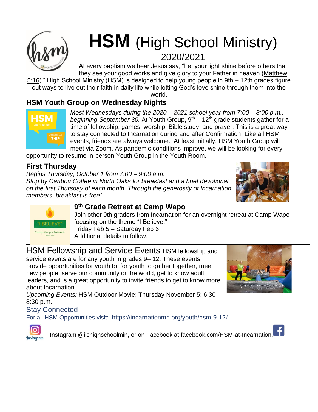

# **HSM** (High School Ministry) 2020/2021

At every baptism we hear Jesus say, "Let your light shine before others that they see your good works and give glory to your Father in heaven (Matthew

[5:16\)](http://bible.oremus.org/?passage=Matthew+5%3A16&vnum=yes&version=nrsv)." High School Ministry (HSM) is designed to help young people in 9th – 12th grades figure out ways to live out their faith in daily life while letting God's love shine through them into the

world.

### **HSM Youth Group on Wednesday Nights**



*Most Wednesdays during the 2020* – *2021 school year from 7:00 – 8:00 p.m., beginning September 30.* At Youth Group, 9<sup>th</sup> – 12<sup>th</sup> grade students gather for a time of fellowship, games, worship, Bible study, and prayer. This is a great way to stay connected to Incarnation during and after Confirmation. Like all HSM events, friends are always welcome. At least initially, HSM Youth Group will meet via Zoom. As pandemic conditions improve, we will be looking for every

opportunity to resume in-person Youth Group in the Youth Room.

### **First Thursday**

*Begins Thursday, October 1 from 7:00 – 9:00 a.m. Stop by Caribou Coffee in North Oaks for breakfast and a brief devotional on the first Thursday of each month. Through the generosity of Incarnation members, breakfast is free!*





#### **9 th Grade Retreat at Camp Wapo**

Join other 9th graders from Incarnation for an overnight retreat at Camp Wapo focusing on the theme "I Believe." Friday Feb 5 – Saturday Feb 6 Additional details to follow.

HSM Fellowship and Service Events HSM fellowship and service events are for any youth in grades 9– 12. These events provide opportunities for youth to for youth to gather together, meet new people, serve our community or the world, get to know adult leaders, and is a great opportunity to invite friends to get to know more about Incarnation.



*Upcoming Events:* HSM Outdoor Movie: Thursday November 5; 6:30 – 8:30 p.m.

#### Stay Connected

For all HSM Opportunities visit: https://incarnationmn.org/youth/hsm-9-12/



Instagram @ilchighschoolmin, or on Facebook at facebook.com/HSM-at-Incarnation[.](https://incarnationmn.org/wp-content/uploads/2018/05/facebook.png)